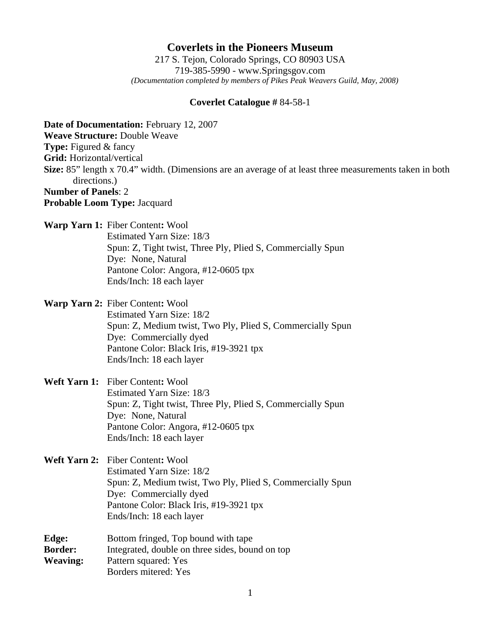## **Coverlets in the Pioneers Museum**

217 S. Tejon, Colorado Springs, CO 80903 USA 719-385-5990 - www.Springsgov.com *(Documentation completed by members of Pikes Peak Weavers Guild, May, 2008)* 

## **Coverlet Catalogue #** 84-58-1

**Date of Documentation:** February 12, 2007 **Weave Structure:** Double Weave **Type:** Figured & fancy **Grid:** Horizontal/vertical **Size:** 85" length x 70.4" width. (Dimensions are an average of at least three measurements taken in both directions.) **Number of Panels**: 2 **Probable Loom Type:** Jacquard **Warp Yarn 1:** Fiber Content**:** Wool Estimated Yarn Size: 18/3 Spun: Z, Tight twist, Three Ply, Plied S, Commercially Spun Dye: None, Natural Pantone Color: Angora, #12-0605 tpx Ends/Inch: 18 each layer **Warp Yarn 2:** Fiber Content**:** Wool Estimated Yarn Size: 18/2 Spun: Z, Medium twist, Two Ply, Plied S, Commercially Spun Dye: Commercially dyed Pantone Color: Black Iris, #19-3921 tpx Ends/Inch: 18 each layer **Weft Yarn 1:** Fiber Content**:** Wool Estimated Yarn Size: 18/3 Spun: Z, Tight twist, Three Ply, Plied S, Commercially Spun Dye: None, Natural Pantone Color: Angora, #12-0605 tpx Ends/Inch: 18 each layer **Weft Yarn 2:** Fiber Content**:** Wool Estimated Yarn Size: 18/2 Spun: Z, Medium twist, Two Ply, Plied S, Commercially Spun Dye: Commercially dyed Pantone Color: Black Iris, #19-3921 tpx Ends/Inch: 18 each layer **Edge:** Bottom fringed, Top bound with tape **Border:** Integrated, double on three sides, bound on top **Weaving:** Pattern squared: Yes Borders mitered: Yes